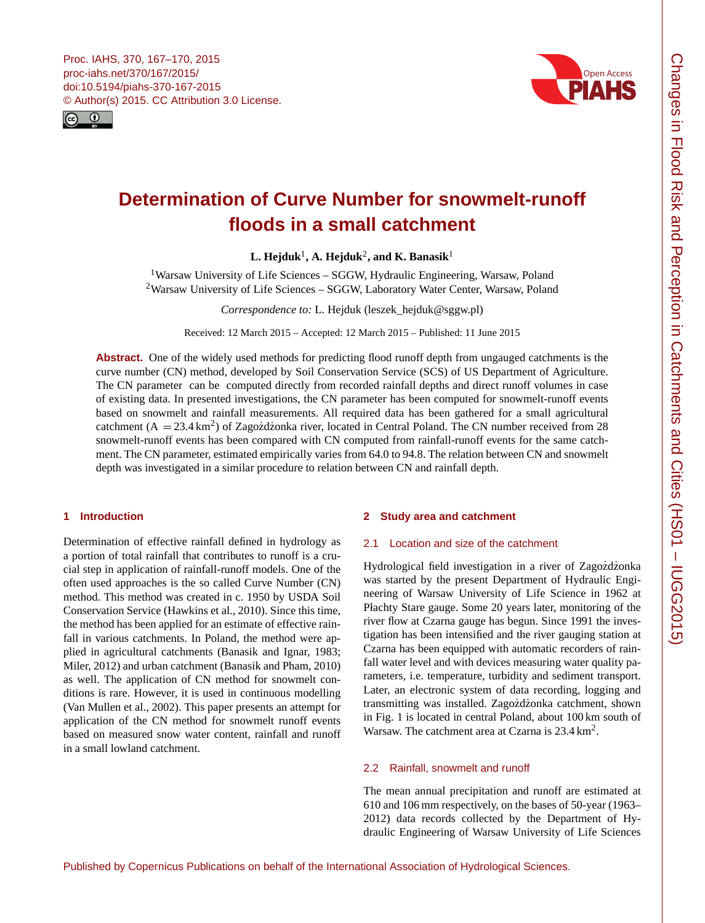<span id="page-0-1"></span>



# **Determination of Curve Number for snowmelt-runoff floods in a small catchment**

 $\mathbf{L}$ . Hejduk $^1$  $^1$ , A. Hejduk $^2$  $^2$ , and  $\mathbf{K}$ . Banasik $^1$ 

<sup>1</sup>Warsaw University of Life Sciences – SGGW, Hydraulic Engineering, Warsaw, Poland <sup>2</sup>Warsaw University of Life Sciences – SGGW, Laboratory Water Center, Warsaw, Poland

*Correspondence to:* L. Hejduk (leszek\_hejduk@sggw.pl)

Received: 12 March 2015 – Accepted: 12 March 2015 – Published: 11 June 2015

**Abstract.** One of the widely used methods for predicting flood runoff depth from ungauged catchments is the curve number (CN) method, developed by Soil Conservation Service (SCS) of US Department of Agriculture. The CN parameter can be computed directly from recorded rainfall depths and direct runoff volumes in case of existing data. In presented investigations, the CN parameter has been computed for snowmelt-runoff events based on snowmelt and rainfall measurements. All required data has been gathered for a small agricultural catchment  $(A = 23.4 \text{ km}^2)$  of Zagozdżonka river, located in Central Poland. The CN number received from 28 snowmelt-runoff events has been compared with CN computed from rainfall-runoff events for the same catchment. The CN parameter, estimated empirically varies from 64.0 to 94.8. The relation between CN and snowmelt depth was investigated in a similar procedure to relation between CN and rainfall depth.

# <span id="page-0-0"></span>**1 Introduction**

Determination of effective rainfall defined in hydrology as a portion of total rainfall that contributes to runoff is a crucial step in application of rainfall-runoff models. One of the often used approaches is the so called Curve Number (CN) method. This method was created in c. 1950 by USDA Soil Conservation Service (Hawkins et al., 2010). Since this time, the method has been applied for an estimate of effective rainfall in various catchments. In Poland, the method were applied in agricultural catchments (Banasik and Ignar, 1983; Miler, 2012) and urban catchment (Banasik and Pham, 2010) as well. The application of CN method for snowmelt conditions is rare. However, it is used in continuous modelling (Van Mullen et al., 2002). This paper presents an attempt for application of the CN method for snowmelt runoff events based on measured snow water content, rainfall and runoff in a small lowland catchment.

## **2 Study area and catchment**

## 2.1 Location and size of the catchment

Hydrological field investigation in a river of Zagozdzonka was started by the present Department of Hydraulic Engineering of Warsaw University of Life Science in 1962 at Płachty Stare gauge. Some 20 years later, monitoring of the river flow at Czarna gauge has begun. Since 1991 the investigation has been intensified and the river gauging station at Czarna has been equipped with automatic recorders of rainfall water level and with devices measuring water quality parameters, i.e. temperature, turbidity and sediment transport. Later, an electronic system of data recording, logging and transmitting was installed. Zagozdzonka catchment, shown in Fig. 1 is located in central Poland, about 100 km south of Warsaw. The catchment area at Czarna is  $23.4 \text{ km}^2$ .

## 2.2 Rainfall, snowmelt and runoff

The mean annual precipitation and runoff are estimated at 610 and 106 mm respectively, on the bases of 50-year (1963– 2012) data records collected by the Department of Hydraulic Engineering of Warsaw University of Life Sciences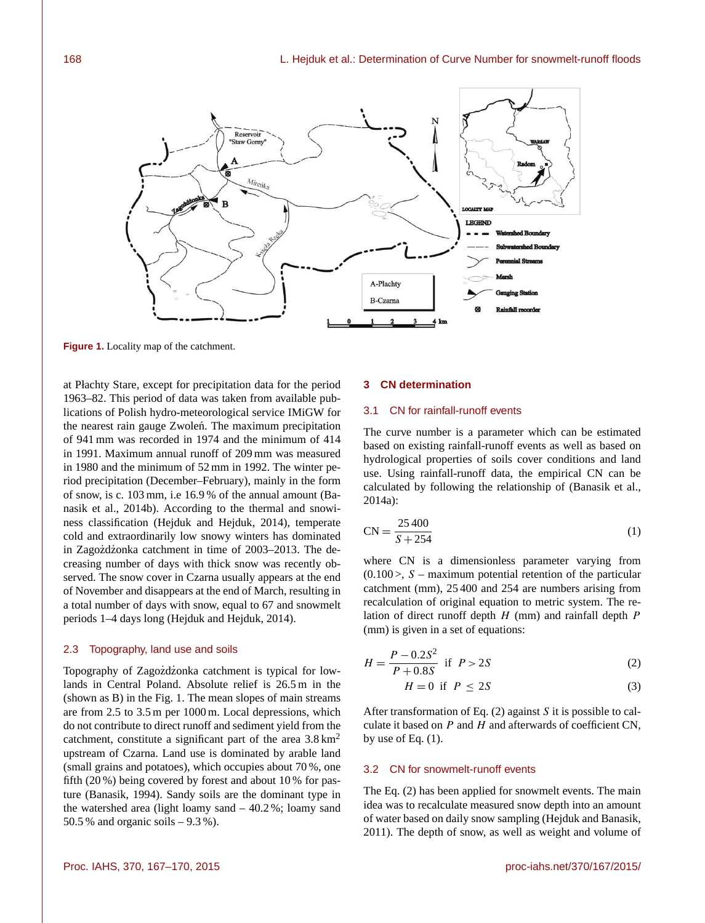

**Figure 1.** Locality map of the catchment.

at Płachty Stare, except for precipitation data for the period 1963–82. This period of data was taken from available publications of Polish hydro-meteorological service IMiGW for the nearest rain gauge Zwolen. The maximum precipitation of 941 mm was recorded in 1974 and the minimum of 414 in 1991. Maximum annual runoff of 209 mm was measured in 1980 and the minimum of 52 mm in 1992. The winter period precipitation (December–February), mainly in the form of snow, is c. 103 mm, i.e 16.9 % of the annual amount (Banasik et al., 2014b). According to the thermal and snowiness classification (Hejduk and Hejduk, 2014), temperate cold and extraordinarily low snowy winters has dominated in Zagozdzonka catchment in time of 2003–2013. The decreasing number of days with thick snow was recently observed. The snow cover in Czarna usually appears at the end of November and disappears at the end of March, resulting in a total number of days with snow, equal to 67 and snowmelt periods 1–4 days long (Hejduk and Hejduk, 2014).

### 2.3 Topography, land use and soils

Topography of Zagozdżonka catchment is typical for lowlands in Central Poland. Absolute relief is 26.5 m in the (shown as B) in the Fig. 1. The mean slopes of main streams are from 2.5 to 3.5 m per 1000 m. Local depressions, which do not contribute to direct runoff and sediment yield from the catchment, constitute a significant part of the area  $3.8 \text{ km}^2$ upstream of Czarna. Land use is dominated by arable land (small grains and potatoes), which occupies about 70 %, one fifth (20 %) being covered by forest and about 10 % for pasture (Banasik, 1994). Sandy soils are the dominant type in the watershed area (light loamy sand – 40.2 %; loamy sand 50.5 % and organic soils  $-9.3$  %).

#### **3 CN determination**

## 3.1 CN for rainfall-runoff events

The curve number is a parameter which can be estimated based on existing rainfall-runoff events as well as based on hydrological properties of soils cover conditions and land use. Using rainfall-runoff data, the empirical CN can be calculated by following the relationship of (Banasik et al., 2014a):

$$
CN = \frac{25400}{S + 254}
$$
 (1)

where CN is a dimensionless parameter varying from  $(0.100)$ , S – maximum potential retention of the particular catchment (mm), 25 400 and 254 are numbers arising from recalculation of original equation to metric system. The relation of direct runoff depth  $H$  (mm) and rainfall depth  $P$ (mm) is given in a set of equations:

$$
H = \frac{P - 0.2S^2}{P + 0.8S} \text{ if } P > 2S \tag{2}
$$

$$
H = 0 \text{ if } P \le 2S \tag{3}
$$

After transformation of Eq.  $(2)$  against S it is possible to calculate it based on  $P$  and  $H$  and afterwards of coefficient CN, by use of Eq.  $(1)$ .

#### 3.2 CN for snowmelt-runoff events

The Eq. (2) has been applied for snowmelt events. The main idea was to recalculate measured snow depth into an amount of water based on daily snow sampling (Hejduk and Banasik, 2011). The depth of snow, as well as weight and volume of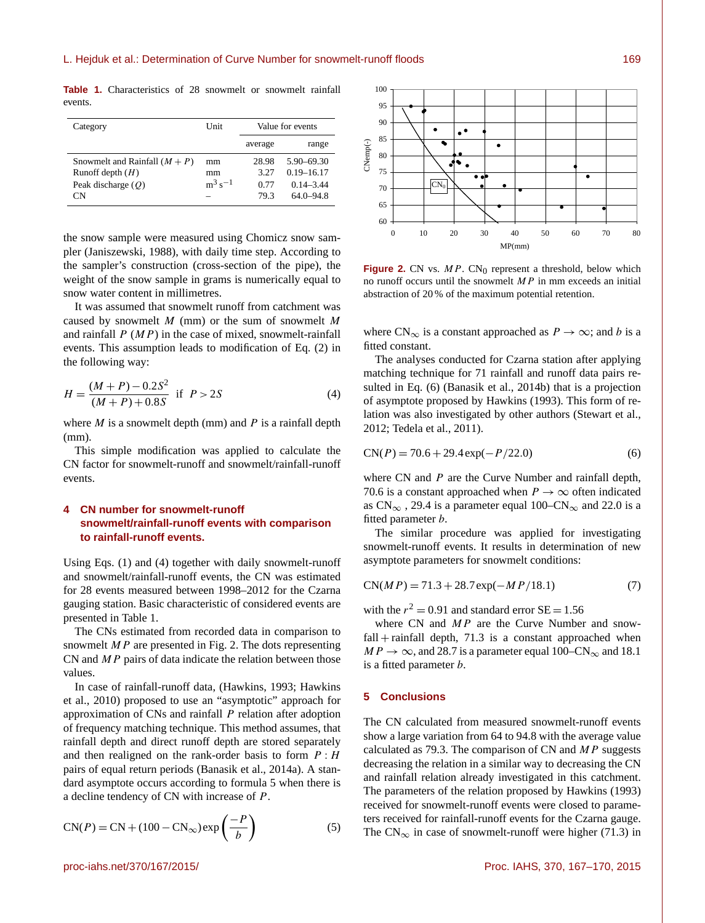**Table 1.** Characteristics of 28 snowmelt or snowmelt rainfall events.

| Category                                   | Unit               | Value for events |                                  |
|--------------------------------------------|--------------------|------------------|----------------------------------|
|                                            |                    | average          | range                            |
| Snowmelt and Rainfall $(M + P)$            | mm                 | 28.98<br>3.27    | $5.90 - 69.30$<br>$0.19 - 16.17$ |
| Runoff depth $(H)$<br>Peak discharge $(O)$ | mm<br>$m^3 s^{-1}$ | 0.77             | $0.14 - 3.44$                    |
| СN                                         |                    | 79.3             | $64.0 - 94.8$                    |

the snow sample were measured using Chomicz snow sampler (Janiszewski, 1988), with daily time step. According to the sampler's construction (cross-section of the pipe), the weight of the snow sample in grams is numerically equal to snow water content in millimetres.

It was assumed that snowmelt runoff from catchment was caused by snowmelt  $M$  (mm) or the sum of snowmelt  $M$ and rainfall  $P(MP)$  in the case of mixed, snowmelt-rainfall events. This assumption leads to modification of Eq. (2) in the following way:

$$
H = \frac{(M+P) - 0.2S^2}{(M+P) + 0.8S} \text{ if } P > 2S
$$
 (4)

where  $M$  is a snowmelt depth (mm) and  $P$  is a rainfall depth (mm).

This simple modification was applied to calculate the CN factor for snowmelt-runoff and snowmelt/rainfall-runoff events.

## **4 CN number for snowmelt-runoff snowmelt/rainfall-runoff events with comparison to rainfall-runoff events.**

Using Eqs. (1) and (4) together with daily snowmelt-runoff and snowmelt/rainfall-runoff events, the CN was estimated for 28 events measured between 1998–2012 for the Czarna gauging station. Basic characteristic of considered events are presented in Table 1.

The CNs estimated from recorded data in comparison to snowmelt  $MP$  are presented in Fig. 2. The dots representing CN and  $MP$  pairs of data indicate the relation between those values.

In case of rainfall-runoff data, (Hawkins, 1993; Hawkins et al., 2010) proposed to use an "asymptotic" approach for approximation of CNs and rainfall P relation after adoption of frequency matching technique. This method assumes, that rainfall depth and direct runoff depth are stored separately and then realigned on the rank-order basis to form  $P : H$ pairs of equal return periods (Banasik et al., 2014a). A standard asymptote occurs according to formula 5 when there is a decline tendency of CN with increase of P.

$$
CN(P) = CN + (100 - CN_{\infty}) \exp\left(\frac{-P}{b}\right)
$$
 (5)



**Figure 2.** CN vs.  $MP$ . CN<sub>0</sub> represent a threshold, below which no runoff occurs until the snowmelt  $MP$  in mm exceeds an initial abstraction of 20 % of the maximum potential retention.

where  $CN_{\infty}$  is a constant approached as  $P \to \infty$ ; and b is a fitted constant.

The analyses conducted for Czarna station after applying matching technique for 71 rainfall and runoff data pairs resulted in Eq. (6) (Banasik et al., 2014b) that is a projection of asymptote proposed by Hawkins (1993). This form of relation was also investigated by other authors (Stewart et al., 2012; Tedela et al., 2011).

$$
CN(P) = 70.6 + 29.4 \exp(-P/22.0)
$$
 (6)

where CN and  $P$  are the Curve Number and rainfall depth, 70.6 is a constant approached when  $P \rightarrow \infty$  often indicated as CN<sub>∞</sub>, 29.4 is a parameter equal 100–CN<sub>∞</sub> and 22.0 is a fitted parameter b.

The similar procedure was applied for investigating snowmelt-runoff events. It results in determination of new asymptote parameters for snowmelt conditions:

$$
CN(MP) = 71.3 + 28.7 \exp(-MP/18.1)
$$
 (7)

with the  $r^2 = 0.91$  and standard error  $SE = 1.56$ 

where  $CN$  and  $MP$  are the Curve Number and snow $fall + rainfall depth, 71.3 is a constant approached when$  $MP \rightarrow \infty$ , and 28.7 is a parameter equal 100–CN<sub>∞</sub> and 18.1 is a fitted parameter b.

## **5 Conclusions**

The CN calculated from measured snowmelt-runoff events show a large variation from 64 to 94.8 with the average value calculated as 79.3. The comparison of CN and  $MP$  suggests decreasing the relation in a similar way to decreasing the CN and rainfall relation already investigated in this catchment. The parameters of the relation proposed by Hawkins (1993) received for snowmelt-runoff events were closed to parameters received for rainfall-runoff events for the Czarna gauge. The  $CN_{\infty}$  in case of snowmelt-runoff were higher (71.3) in